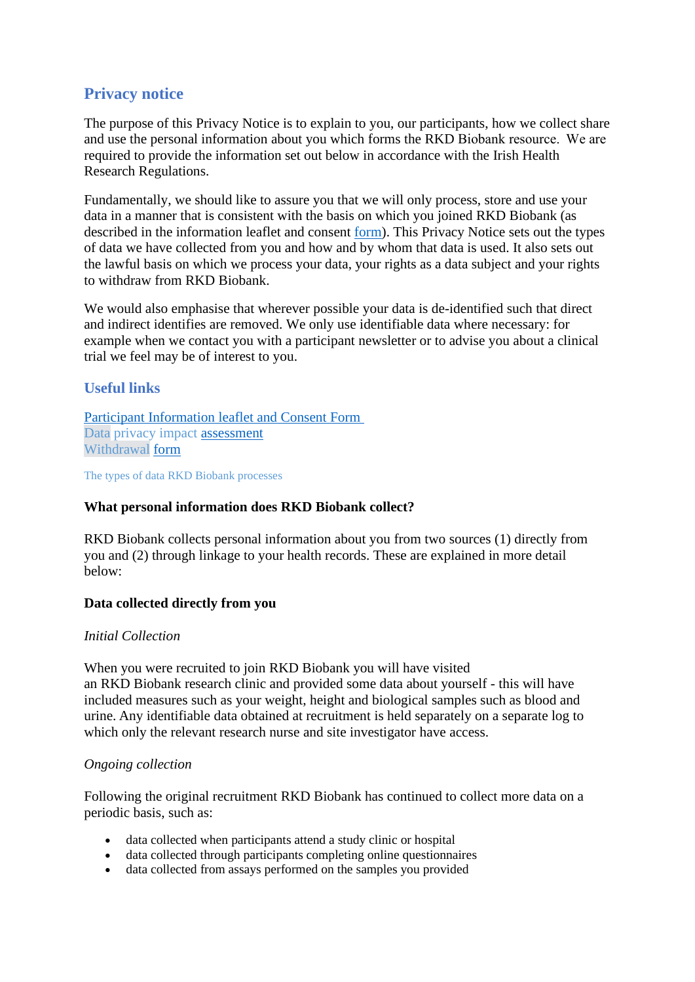# **Privacy notice**

The purpose of this Privacy Notice is to explain to you, our participants, how we collect share and use the personal information about you which forms the RKD Biobank resource.  We are required to provide the information set out below in accordance with the Irish Health Research Regulations.

Fundamentally, we should like to assure you that we will only process, store and use your data in a manner that is consistent with the basis on which you joined RKD Biobank (as described in the information leaflet and consent [form\)](https://www.tcd.ie/medicine/thkc/assets/pdf/RKD-Vasculitis-Patient-PIL-ICF-Version-5-07AUG19.pdf). This Privacy Notice sets out the types of data we have collected from you and how and by whom that data is used. It also sets out the lawful basis on which we process your data, your rights as a data subject and your rights to withdraw from RKD Biobank.

We would also emphasise that wherever possible your data is de-identified such that direct and indirect identifies are removed. We only use identifiable data where necessary: for example when we contact you with a participant newsletter or to advise you about a clinical trial we feel may be of interest to you.

# **Useful links**

Participant [Information leaflet and](https://www.tcd.ie/medicine/thkc/assets/pdf/RKD-Vasculitis-Patient-PIL-ICF-Version-5-07AUG19.pdf) Consent Form [Data](https://www.ukbiobank.ac.uk/media/0xsbmfmw/egf.pdf%22%20/o%20%22EGF) privacy impact [assessment](https://www.tcd.ie/medicine/thkc/assets/pdf/DPIA%20-%20RKD_V2.1%20(1).pdf) [Withdrawal](https://digital.nhs.uk/services/national-data-opt-out-programme) [form](https://www.tcd.ie/medicine/thkc/assets/pdf/RKD-Study-Withdrawal-Form-Version-2-07AUG19.pdf)

The types of data RKD Biobank processes

# **What personal information does RKD Biobank collect?**

RKD Biobank collects personal information about you from two sources (1) directly from you and (2) through linkage to your health records. These are explained in more detail below:

# **Data collected directly from you**

# *Initial Collection*

When you were recruited to join RKD Biobank you will have visited an RKD Biobank research clinic and provided some data about yourself - this will have included measures such as your weight, height and biological samples such as blood and urine. Any identifiable data obtained at recruitment is held separately on a separate log to which only the relevant research nurse and site investigator have access.

# *Ongoing collection*

Following the original recruitment RKD Biobank has continued to collect more data on a periodic basis, such as:

- data collected when participants attend a study clinic or hospital
- data collected through participants completing online questionnaires
- data collected from assays performed on the samples you provided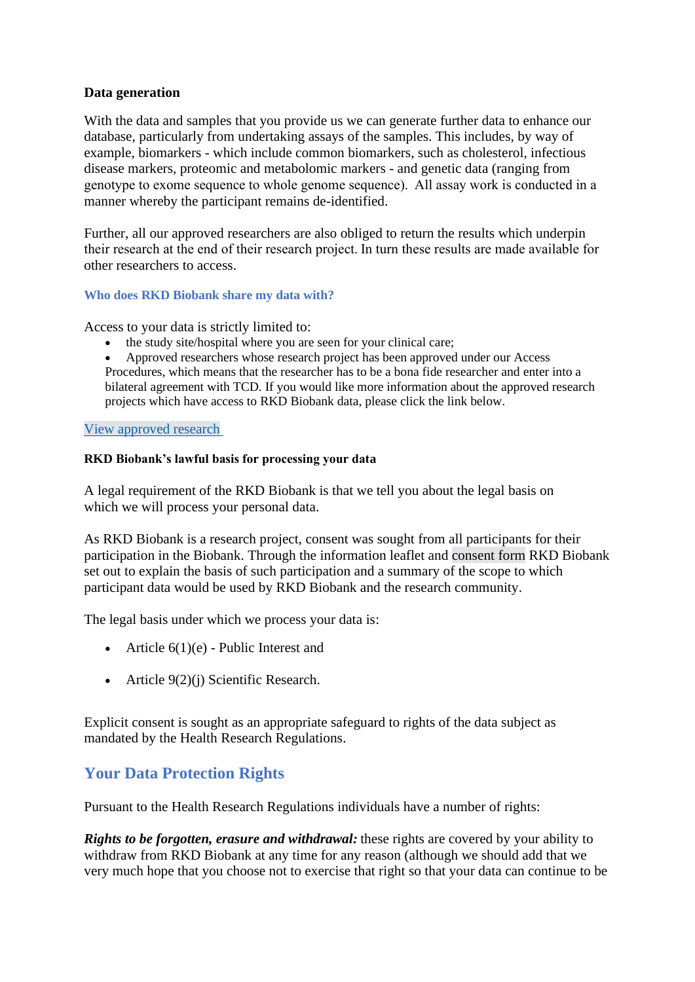# **Data generation**

With the data and samples that you provide us we can generate further data to enhance our database, particularly from undertaking assays of the samples. This includes, by way of example, biomarkers - which include common biomarkers, such as cholesterol, infectious disease markers, proteomic and metabolomic markers - and genetic data (ranging from genotype to exome sequence to whole genome sequence).  All assay work is conducted in a manner whereby the participant remains de-identified.

Further, all our approved researchers are also obliged to return the results which underpin their research at the end of their research project. In turn these results are made available for other researchers to access.

# **Who does RKD Biobank share my data with?**

Access to your data is strictly limited to:

- the study site/hospital where you are seen for your clinical care;
- Approved researchers whose research project has been approved under our Access Procedures, which means that the researcher has to be a bona fide researcher and enter into a bilateral agreement with TCD. If you would like more information about the approved research projects which have access to RKD Biobank data, please click the link below.

#### [View approved](https://www.tcd.ie/medicine/thkc/assets/excel/supported-research-studies-summary-(rkd-registry-and-biobank)-(05.26.2021)-(1).xlsx) research

#### **RKD Biobank's lawful basis for processing your data**

A legal requirement of the RKD Biobank is that we tell you about the legal basis on which we will process your personal data.

As RKD Biobank is a research project, consent was sought from all participants for their participation in the Biobank. Through the information leaflet and [consent form](https://www.ukbiobank.ac.uk/media/05ldg1ez/consent-form-uk-biobank.pdf) RKD Biobank set out to explain the basis of such participation and a summary of the scope to which participant data would be used by RKD Biobank and the research community.

The legal basis under which we process your data is:

- Article  $6(1)(e)$  Public Interest and
- Article 9(2)(j) Scientific Research.

Explicit consent is sought as an appropriate safeguard to rights of the data subject as mandated by the Health Research Regulations.

# **Your Data Protection Rights**

Pursuant to the Health Research Regulations individuals have a number of rights:

*Rights to be forgotten, erasure and withdrawal:* these rights are covered by your ability to withdraw from RKD Biobank at any time for any reason (although we should add that we very much hope that you choose not to exercise that right so that your data can continue to be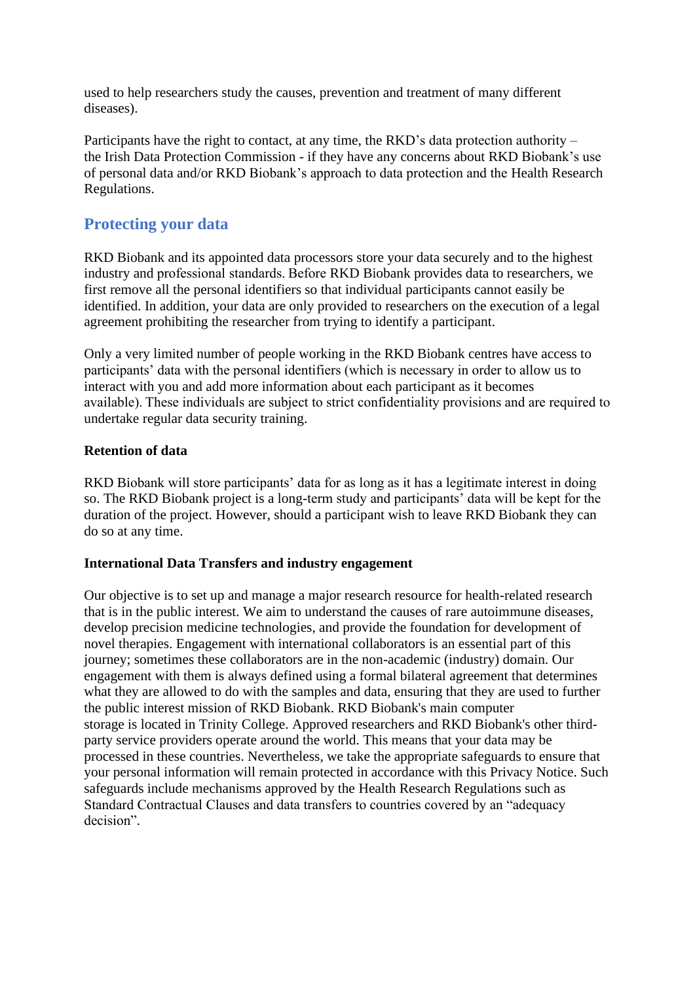used to help researchers study the causes, prevention and treatment of many different diseases).

Participants have the right to contact, at any time, the RKD's data protection authority – the Irish Data Protection Commission - if they have any concerns about RKD Biobank's use of personal data and/or RKD Biobank's approach to data protection and the Health Research Regulations.

# **Protecting your data**

RKD Biobank and its appointed data processors store your data securely and to the highest industry and professional standards. Before RKD Biobank provides data to researchers, we first remove all the personal identifiers so that individual participants cannot easily be identified. In addition, your data are only provided to researchers on the execution of a legal agreement prohibiting the researcher from trying to identify a participant.

Only a very limited number of people working in the RKD Biobank centres have access to participants' data with the personal identifiers (which is necessary in order to allow us to interact with you and add more information about each participant as it becomes available). These individuals are subject to strict confidentiality provisions and are required to undertake regular data security training.

# **Retention of data**

RKD Biobank will store participants' data for as long as it has a legitimate interest in doing so. The RKD Biobank project is a long-term study and participants' data will be kept for the duration of the project. However, should a participant wish to leave RKD Biobank they can do so at any time.

# **International Data Transfers and industry engagement**

Our objective is to set up and manage a major research resource for health-related research that is in the public interest. We aim to understand the causes of rare autoimmune diseases, develop precision medicine technologies, and provide the foundation for development of novel therapies. Engagement with international collaborators is an essential part of this journey; sometimes these collaborators are in the non-academic (industry) domain. Our engagement with them is always defined using a formal bilateral agreement that determines what they are allowed to do with the samples and data, ensuring that they are used to further the public interest mission of RKD Biobank. RKD Biobank's main computer storage is located in Trinity College. Approved researchers and RKD Biobank's other thirdparty service providers operate around the world. This means that your data may be processed in these countries. Nevertheless, we take the appropriate safeguards to ensure that your personal information will remain protected in accordance with this Privacy Notice. Such safeguards include mechanisms approved by the Health Research Regulations such as Standard Contractual Clauses and data transfers to countries covered by an "adequacy decision".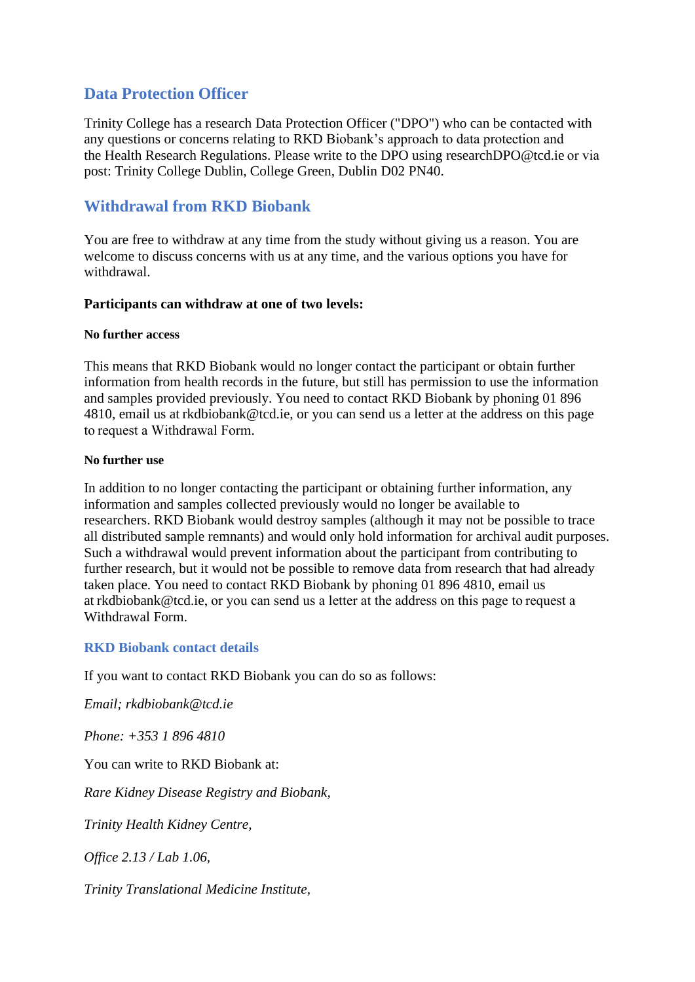# **Data Protection Officer**

Trinity College has a research Data Protection Officer ("DPO") who can be contacted with any questions or concerns relating to RKD Biobank's approach to data protection and the Health Research Regulations. Please write to the DPO using researchDPO@tcd.ie or via post: Trinity College Dublin, College Green, Dublin D02 PN40.

# **Withdrawal from RKD Biobank**

You are free to withdraw at any time from the study without giving us a reason. You are welcome to discuss concerns with us at any time, and the various options you have for withdrawal.

# **Participants can withdraw at one of two levels:**

#### **No further access**

This means that RKD Biobank would no longer contact the participant or obtain further information from health records in the future, but still has permission to use the information and samples provided previously. You need to contact RKD Biobank by phoning 01 896 4810, email us at rkdbiobank@tcd.ie, or you can send us a letter at the address on this page to request a Withdrawal Form.

# **No further use**

In addition to no longer contacting the participant or obtaining further information, any information and samples collected previously would no longer be available to researchers. RKD Biobank would destroy samples (although it may not be possible to trace all distributed sample remnants) and would only hold information for archival audit purposes. Such a withdrawal would prevent information about the participant from contributing to further research, but it would not be possible to remove data from research that had already taken place. You need to contact RKD Biobank by phoning 01 896 4810, email us at rkdbiobank@tcd.ie, or you can send us a letter at the address on this page to request a Withdrawal Form.

# **RKD Biobank contact details**

If you want to contact RKD Biobank you can do so as follows:

*Email; rkdbiobank@tcd.ie*

*Phone: +353 1 896 4810*

You can write to RKD Biobank at:

*Rare Kidney Disease Registry and Biobank,*

*Trinity Health Kidney Centre,*

*Office 2.13 / Lab 1.06,*

*Trinity Translational Medicine Institute,*